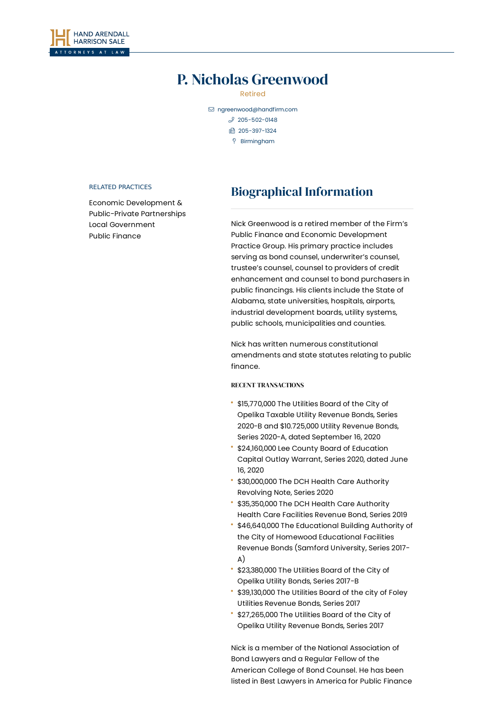

# P. Nicholas Greenwood

Retired

 [ngreenwood@handfirm.com](mailto:ngreenwood@handfirm.com)  $$205 - 502 - 0148$  205-397-1324 Birmingham

#### RELATED PRACTICES

Economic Development & [Public-Private](https://www.handfirm.com/practices/business-services/economic-development-public-private-partnerships/) Partnerships Local [Government](https://www.handfirm.com/practices/business-services/local-government/) Public [Finance](https://www.handfirm.com/practices/business-services/public-finance/)

# Biographical Information

Nick Greenwood is a retired member of the Firm's Public Finance and Economic Development Practice Group. His primary practice includes serving as bond counsel, underwriter's counsel, trustee's counsel, counsel to providers of credit enhancement and counsel to bond purchasers in public financings. His clients include the State of Alabama, state universities, hospitals, airports, industrial development boards, utility systems, public schools, municipalities and counties.

Nick has written numerous constitutional amendments and state statutes relating to public finance.

## RECENT TRANSACTIONS

- \$15,770,000 The Utilities Board of the City of Opelika Taxable Utility Revenue Bonds, Series 2020-B and \$10.725,000 Utility Revenue Bonds, Series 2020-A, dated September 16, 2020
- \$24,160,000 Lee County Board of Education Capital Outlay Warrant, Series 2020, dated June 16, 2020
- \$30,000,000 The DCH Health Care Authority Revolving Note, Series 2020
- \$35,350,000 The DCH Health Care Authority Health Care Facilities Revenue Bond, Series 2019
- \$46,640,000 The Educational Building Authority of the City of Homewood Educational Facilities Revenue Bonds (Samford University, Series 2017- A)
- \$23,380,000 The Utilities Board of the City of Opelika Utility Bonds, Series 2017-B
- \$39,130,000 The Utilities Board of the city of Foley Utilities Revenue Bonds, Series 2017
- \$27,265,000 The Utilities Board of the City of Opelika Utility Revenue Bonds, Series 2017

Nick is a member of the National Association of Bond Lawyers and a Regular Fellow of the American College of Bond Counsel. He has been listed in Best Lawyers in America for Public Finance